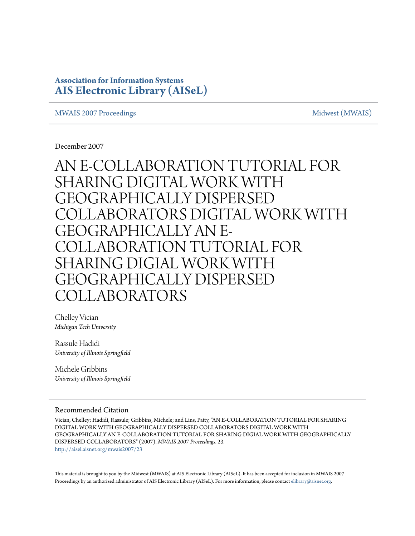# **Association for Information Systems [AIS Electronic Library \(AISeL\)](http://aisel.aisnet.org?utm_source=aisel.aisnet.org%2Fmwais2007%2F23&utm_medium=PDF&utm_campaign=PDFCoverPages)**

#### [MWAIS 2007 Proceedings](http://aisel.aisnet.org/mwais2007?utm_source=aisel.aisnet.org%2Fmwais2007%2F23&utm_medium=PDF&utm_campaign=PDFCoverPages) and the state of the state of the [Midwest \(MWAIS\)](http://aisel.aisnet.org/mwais?utm_source=aisel.aisnet.org%2Fmwais2007%2F23&utm_medium=PDF&utm_campaign=PDFCoverPages)

December 2007

AN E-COLLABORATION TUTORIAL FOR SHARING DIGITAL WORK WITH GEOGRAPHICALLY DISPERSED COLLABORATORS DIGITAL WORK WITH GEOGRAPHICALLY AN E-COLLABORATION TUTORIAL FOR SHARING DIGIAL WORK WITH GEOGRAPHICALLY DISPERSED COLLABORATORS

Chelley Vician *Michigan Tech University*

Rassule Hadidi *University of Illinois Springfield*

Michele Gribbins *University of Illinois Springfield*

#### Recommended Citation

Vician, Chelley; Hadidi, Rassule; Gribbins, Michele; and Lins, Patty, "AN E-COLLABORATION TUTORIAL FOR SHARING DIGITAL WORK WITH GEOGRAPHICALLY DISPERSED COLLABORATORS DIGITAL WORK WITH GEOGRAPHICALLY AN E-COLLABORATION TUTORIAL FOR SHARING DIGIAL WORK WITH GEOGRAPHICALLY DISPERSED COLLABORATORS" (2007). *MWAIS 2007 Proceedings*. 23. [http://aisel.aisnet.org/mwais2007/23](http://aisel.aisnet.org/mwais2007/23?utm_source=aisel.aisnet.org%2Fmwais2007%2F23&utm_medium=PDF&utm_campaign=PDFCoverPages)

This material is brought to you by the Midwest (MWAIS) at AIS Electronic Library (AISeL). It has been accepted for inclusion in MWAIS 2007 Proceedings by an authorized administrator of AIS Electronic Library (AISeL). For more information, please contact [elibrary@aisnet.org](mailto:elibrary@aisnet.org%3E).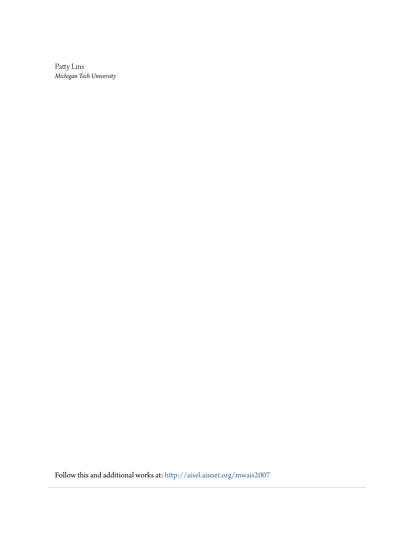Patty Lins *Michigan Tech University*

Follow this and additional works at: [http://aisel.aisnet.org/mwais2007](http://aisel.aisnet.org/mwais2007?utm_source=aisel.aisnet.org%2Fmwais2007%2F23&utm_medium=PDF&utm_campaign=PDFCoverPages)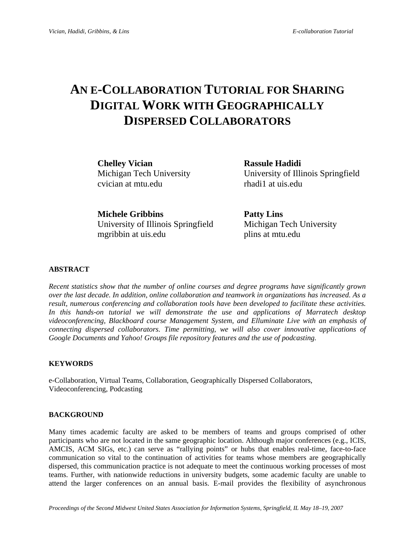# **AN E-COLLABORATION TUTORIAL FOR SHARING DIGITAL WORK WITH GEOGRAPHICALLY DISPERSED COLLABORATORS**

**Chelley Vician Rassule Hadidi**  cvician at mtu.edu rhadi1 at uis.edu

Michigan Tech University University of Illinois Springfield

**Michele Gribbins Patty Lins**  University of Illinois Springfield Michigan Tech University mgribbin at uis.edu plins at mtu.edu

### **ABSTRACT**

*Recent statistics show that the number of online courses and degree programs have significantly grown over the last decade. In addition, online collaboration and teamwork in organizations has increased. As a result, numerous conferencing and collaboration tools have been developed to facilitate these activities. In this hands-on tutorial we will demonstrate the use and applications of Marratech desktop videoconferencing, Blackboard course Management System, and Elluminate Live with an emphasis of connecting dispersed collaborators. Time permitting, we will also cover innovative applications of Google Documents and Yahoo! Groups file repository features and the use of podcasting.* 

#### **KEYWORDS**

e-Collaboration, Virtual Teams, Collaboration, Geographically Dispersed Collaborators, Videoconferencing, Podcasting

#### **BACKGROUND**

Many times academic faculty are asked to be members of teams and groups comprised of other participants who are not located in the same geographic location. Although major conferences (e.g., ICIS, AMCIS, ACM SIGs, etc.) can serve as "rallying points" or hubs that enables real-time, face-to-face communication so vital to the continuation of activities for teams whose members are geographically dispersed, this communication practice is not adequate to meet the continuous working processes of most teams. Further, with nationwide reductions in university budgets, some academic faculty are unable to attend the larger conferences on an annual basis. E-mail provides the flexibility of asynchronous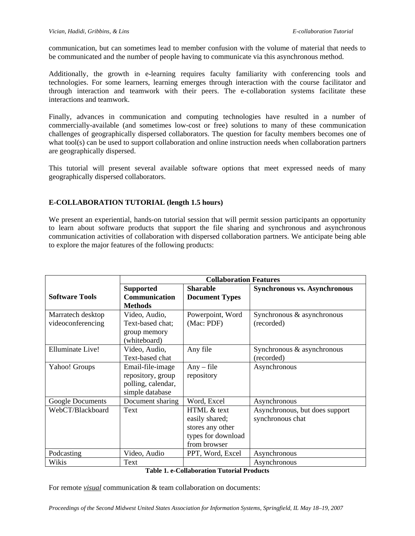communication, but can sometimes lead to member confusion with the volume of material that needs to be communicated and the number of people having to communicate via this asynchronous method.

Additionally, the growth in e-learning requires faculty familiarity with conferencing tools and technologies. For some learners, learning emerges through interaction with the course facilitator and through interaction and teamwork with their peers. The e-collaboration systems facilitate these interactions and teamwork.

Finally, advances in communication and computing technologies have resulted in a number of commercially-available (and sometimes low-cost or free) solutions to many of these communication challenges of geographically dispersed collaborators. The question for faculty members becomes one of what tool(s) can be used to support collaboration and online instruction needs when collaboration partners are geographically dispersed.

This tutorial will present several available software options that meet expressed needs of many geographically dispersed collaborators.

# **E-COLLABORATION TUTORIAL (length 1.5 hours)**

We present an experiential, hands-on tutorial session that will permit session participants an opportunity to learn about software products that support the file sharing and synchronous and asynchronous communication activities of collaboration with dispersed collaboration partners. We anticipate being able to explore the major features of the following products:

|                       | <b>Collaboration Features</b> |                       |                                     |
|-----------------------|-------------------------------|-----------------------|-------------------------------------|
|                       | <b>Supported</b>              | <b>Sharable</b>       | <b>Synchronous vs. Asynchronous</b> |
| <b>Software Tools</b> | <b>Communication</b>          | <b>Document Types</b> |                                     |
|                       | <b>Methods</b>                |                       |                                     |
| Marratech desktop     | Video, Audio,                 | Powerpoint, Word      | Synchronous & asynchronous          |
| videoconferencing     | Text-based chat;              | (Mac: PDF)            | (recorded)                          |
|                       | group memory                  |                       |                                     |
|                       | (whiteboard)                  |                       |                                     |
| Elluminate Live!      | Video, Audio,                 | Any file              | Synchronous & asynchronous          |
|                       | Text-based chat               |                       | (recorded)                          |
| Yahoo! Groups         | Email-file-image              | $Any$ - file          | Asynchronous                        |
|                       | repository, group             | repository            |                                     |
|                       | polling, calendar,            |                       |                                     |
|                       | simple database               |                       |                                     |
| Google Documents      | Document sharing              | Word, Excel           | Asynchronous                        |
| WebCT/Blackboard      | Text                          | HTML & text           | Asynchronous, but does support      |
|                       |                               | easily shared;        | synchronous chat                    |
|                       |                               | stores any other      |                                     |
|                       |                               | types for download    |                                     |
|                       |                               | from browser          |                                     |
| Podcasting            | Video, Audio                  | PPT, Word, Excel      | Asynchronous                        |
| Wikis                 | Text                          |                       | Asynchronous                        |

| <b>Table 1. e-Collaboration Tutorial Products</b> |  |
|---------------------------------------------------|--|
|---------------------------------------------------|--|

For remote *visual* communication & team collaboration on documents: